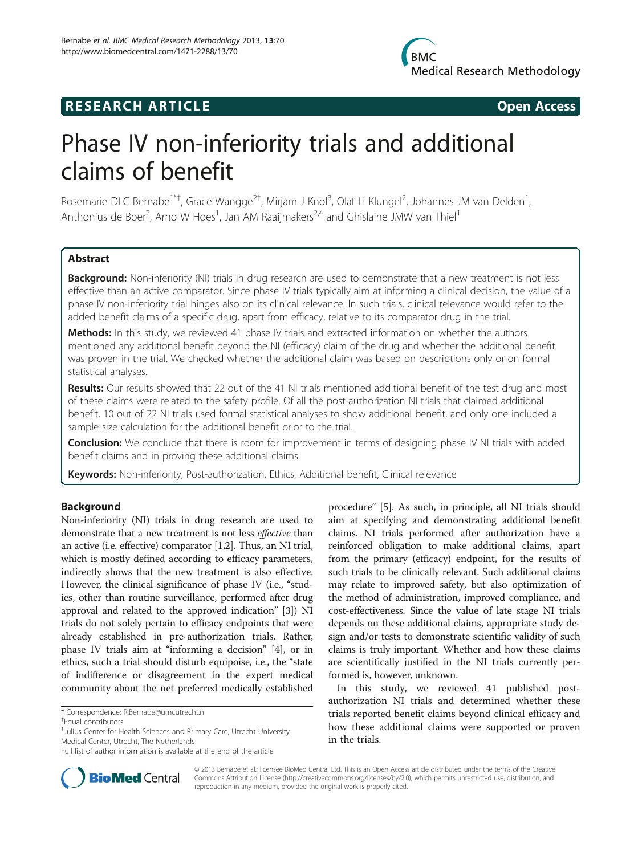# **RESEARCH ARTICLE Example 2014 CONSIDERING CONSIDERING CONSIDERING CONSIDERING CONSIDERING CONSIDERING CONSIDERING CONSIDERING CONSIDERING CONSIDERING CONSIDERING CONSIDERING CONSIDERING CONSIDERING CONSIDERING CONSIDE**

# Phase IV non-inferiority trials and additional claims of benefit

Rosemarie DLC Bernabe<sup>1\*†</sup>, Grace Wangge<sup>2†</sup>, Mirjam J Knol<sup>3</sup>, Olaf H Klungel<sup>2</sup>, Johannes JM van Delden<sup>1</sup> , Anthonius de Boer<sup>2</sup>, Arno W Hoes<sup>1</sup>, Jan AM Raaijmakers<sup>2,4</sup> and Ghislaine JMW van Thiel<sup>1</sup>

# **Abstract**

Background: Non-inferiority (NI) trials in drug research are used to demonstrate that a new treatment is not less effective than an active comparator. Since phase IV trials typically aim at informing a clinical decision, the value of a phase IV non-inferiority trial hinges also on its clinical relevance. In such trials, clinical relevance would refer to the added benefit claims of a specific drug, apart from efficacy, relative to its comparator drug in the trial.

Methods: In this study, we reviewed 41 phase IV trials and extracted information on whether the authors mentioned any additional benefit beyond the NI (efficacy) claim of the drug and whether the additional benefit was proven in the trial. We checked whether the additional claim was based on descriptions only or on formal statistical analyses.

Results: Our results showed that 22 out of the 41 NI trials mentioned additional benefit of the test drug and most of these claims were related to the safety profile. Of all the post-authorization NI trials that claimed additional benefit, 10 out of 22 NI trials used formal statistical analyses to show additional benefit, and only one included a sample size calculation for the additional benefit prior to the trial.

**Conclusion:** We conclude that there is room for improvement in terms of designing phase IV NI trials with added benefit claims and in proving these additional claims.

Keywords: Non-inferiority, Post-authorization, Ethics, Additional benefit, Clinical relevance

# Background

Non-inferiority (NI) trials in drug research are used to demonstrate that a new treatment is not less effective than an active (i.e. effective) comparator [\[1,2\]](#page-4-0). Thus, an NI trial, which is mostly defined according to efficacy parameters, indirectly shows that the new treatment is also effective. However, the clinical significance of phase IV (i.e., "studies, other than routine surveillance, performed after drug approval and related to the approved indication" [\[3\]](#page-4-0)) NI trials do not solely pertain to efficacy endpoints that were already established in pre-authorization trials. Rather, phase IV trials aim at "informing a decision" [[4\]](#page-4-0), or in ethics, such a trial should disturb equipoise, i.e., the "state of indifference or disagreement in the expert medical community about the net preferred medically established procedure" [[5\]](#page-4-0). As such, in principle, all NI trials should aim at specifying and demonstrating additional benefit claims. NI trials performed after authorization have a reinforced obligation to make additional claims, apart from the primary (efficacy) endpoint, for the results of such trials to be clinically relevant. Such additional claims may relate to improved safety, but also optimization of the method of administration, improved compliance, and cost-effectiveness. Since the value of late stage NI trials depends on these additional claims, appropriate study design and/or tests to demonstrate scientific validity of such claims is truly important. Whether and how these claims are scientifically justified in the NI trials currently performed is, however, unknown.

In this study, we reviewed 41 published postauthorization NI trials and determined whether these trials reported benefit claims beyond clinical efficacy and how these additional claims were supported or proven in the trials.



© 2013 Bernabe et al.; licensee BioMed Central Ltd. This is an Open Access article distributed under the terms of the Creative Commons Attribution License [\(http://creativecommons.org/licenses/by/2.0\)](http://creativecommons.org/licenses/by/2.0), which permits unrestricted use, distribution, and reproduction in any medium, provided the original work is properly cited.

<sup>\*</sup> Correspondence: [R.Bernabe@umcutrecht.nl](mailto:R.Bernabe@umcutrecht.nl) †

<sup>&</sup>lt;sup>+</sup>Fqual contributors

<sup>&</sup>lt;sup>1</sup>Julius Center for Health Sciences and Primary Care, Utrecht University Medical Center, Utrecht, The Netherlands

Full list of author information is available at the end of the article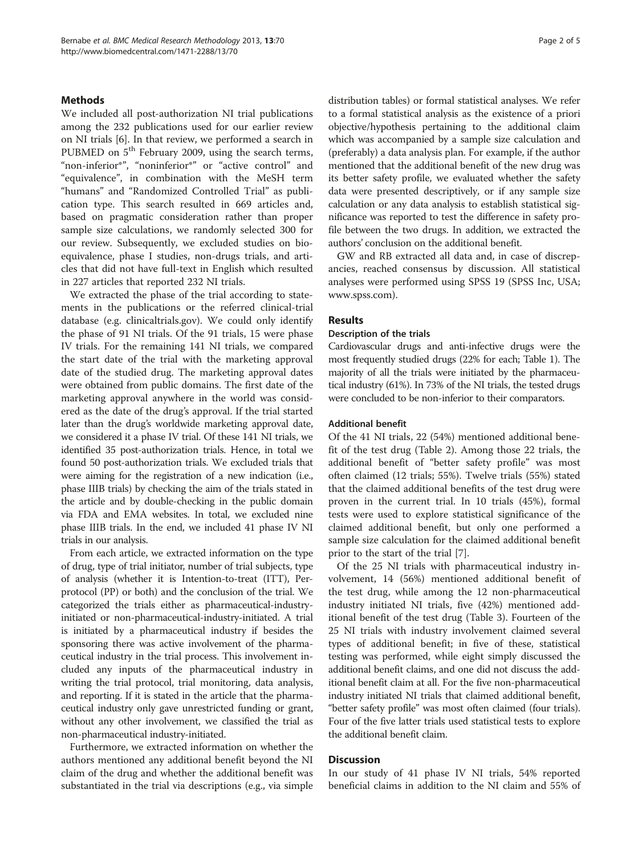# **Methods**

We included all post-authorization NI trial publications among the 232 publications used for our earlier review on NI trials [\[6](#page-4-0)]. In that review, we performed a search in PUBMED on 5<sup>th</sup> February 2009, using the search terms, "non-inferior\*", "noninferior\*" or "active control" and "equivalence", in combination with the MeSH term "humans" and "Randomized Controlled Trial" as publication type. This search resulted in 669 articles and, based on pragmatic consideration rather than proper sample size calculations, we randomly selected 300 for our review. Subsequently, we excluded studies on bioequivalence, phase I studies, non-drugs trials, and articles that did not have full-text in English which resulted in 227 articles that reported 232 NI trials.

We extracted the phase of the trial according to statements in the publications or the referred clinical-trial database (e.g. clinicaltrials.gov). We could only identify the phase of 91 NI trials. Of the 91 trials, 15 were phase IV trials. For the remaining 141 NI trials, we compared the start date of the trial with the marketing approval date of the studied drug. The marketing approval dates were obtained from public domains. The first date of the marketing approval anywhere in the world was considered as the date of the drug's approval. If the trial started later than the drug's worldwide marketing approval date, we considered it a phase IV trial. Of these 141 NI trials, we identified 35 post-authorization trials. Hence, in total we found 50 post-authorization trials. We excluded trials that were aiming for the registration of a new indication (i.e., phase IIIB trials) by checking the aim of the trials stated in the article and by double-checking in the public domain via FDA and EMA websites. In total, we excluded nine phase IIIB trials. In the end, we included 41 phase IV NI trials in our analysis.

From each article, we extracted information on the type of drug, type of trial initiator, number of trial subjects, type of analysis (whether it is Intention-to-treat (ITT), Perprotocol (PP) or both) and the conclusion of the trial. We categorized the trials either as pharmaceutical-industryinitiated or non-pharmaceutical-industry-initiated. A trial is initiated by a pharmaceutical industry if besides the sponsoring there was active involvement of the pharmaceutical industry in the trial process. This involvement included any inputs of the pharmaceutical industry in writing the trial protocol, trial monitoring, data analysis, and reporting. If it is stated in the article that the pharmaceutical industry only gave unrestricted funding or grant, without any other involvement, we classified the trial as non-pharmaceutical industry-initiated.

Furthermore, we extracted information on whether the authors mentioned any additional benefit beyond the NI claim of the drug and whether the additional benefit was substantiated in the trial via descriptions (e.g., via simple distribution tables) or formal statistical analyses. We refer to a formal statistical analysis as the existence of a priori objective/hypothesis pertaining to the additional claim which was accompanied by a sample size calculation and (preferably) a data analysis plan. For example, if the author mentioned that the additional benefit of the new drug was its better safety profile, we evaluated whether the safety data were presented descriptively, or if any sample size calculation or any data analysis to establish statistical significance was reported to test the difference in safety profile between the two drugs. In addition, we extracted the authors' conclusion on the additional benefit.

GW and RB extracted all data and, in case of discrepancies, reached consensus by discussion. All statistical analyses were performed using SPSS 19 (SPSS Inc, USA; [www.spss.com\)](http://www.spss.com).

# Results

# Description of the trials

Cardiovascular drugs and anti-infective drugs were the most frequently studied drugs (22% for each; Table [1\)](#page-2-0). The majority of all the trials were initiated by the pharmaceutical industry (61%). In 73% of the NI trials, the tested drugs were concluded to be non-inferior to their comparators.

#### Additional benefit

Of the 41 NI trials, 22 (54%) mentioned additional benefit of the test drug (Table [2\)](#page-2-0). Among those 22 trials, the additional benefit of "better safety profile" was most often claimed (12 trials; 55%). Twelve trials (55%) stated that the claimed additional benefits of the test drug were proven in the current trial. In 10 trials (45%), formal tests were used to explore statistical significance of the claimed additional benefit, but only one performed a sample size calculation for the claimed additional benefit prior to the start of the trial [\[7](#page-4-0)].

Of the 25 NI trials with pharmaceutical industry involvement, 14 (56%) mentioned additional benefit of the test drug, while among the 12 non-pharmaceutical industry initiated NI trials, five (42%) mentioned additional benefit of the test drug (Table [3\)](#page-3-0). Fourteen of the 25 NI trials with industry involvement claimed several types of additional benefit; in five of these, statistical testing was performed, while eight simply discussed the additional benefit claims, and one did not discuss the additional benefit claim at all. For the five non-pharmaceutical industry initiated NI trials that claimed additional benefit, "better safety profile" was most often claimed (four trials). Four of the five latter trials used statistical tests to explore the additional benefit claim.

### **Discussion**

In our study of 41 phase IV NI trials, 54% reported beneficial claims in addition to the NI claim and 55% of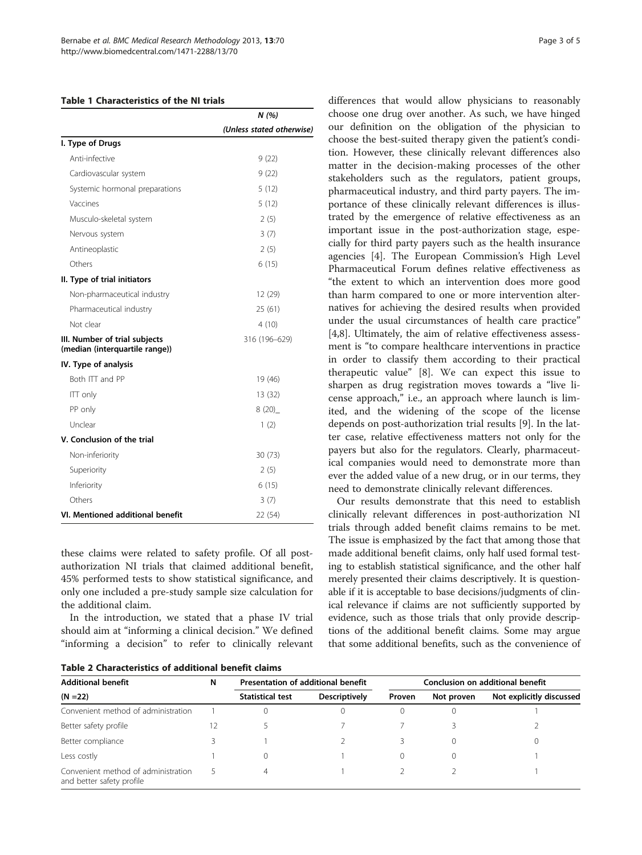# <span id="page-2-0"></span>Table 1 Characteristics of the NI trials

|                                                                 | N (%)                     |  |  |
|-----------------------------------------------------------------|---------------------------|--|--|
|                                                                 | (Unless stated otherwise) |  |  |
| I. Type of Drugs                                                |                           |  |  |
| Anti-infective                                                  | 9(22)                     |  |  |
| Cardiovascular system                                           | 9 (22)                    |  |  |
| Systemic hormonal preparations                                  | 5(12)                     |  |  |
| Vaccines                                                        | 5(12)                     |  |  |
| Musculo-skeletal system                                         | 2(5)                      |  |  |
| Nervous system                                                  | 3(7)                      |  |  |
| Antineoplastic                                                  | 2(5)                      |  |  |
| Others                                                          | 6(15)                     |  |  |
| II. Type of trial initiators                                    |                           |  |  |
| Non-pharmaceutical industry                                     | 12 (29)                   |  |  |
| Pharmaceutical industry                                         | 25(61)                    |  |  |
| Not clear                                                       | 4(10)                     |  |  |
| III. Number of trial subjects<br>(median (interquartile range)) | 316 (196-629)             |  |  |
| IV. Type of analysis                                            |                           |  |  |
| Both ITT and PP                                                 | 19 (46)                   |  |  |
| ITT only                                                        | 13 (32)                   |  |  |
| PP only                                                         | 8 (20)                    |  |  |
| Unclear                                                         | 1(2)                      |  |  |
| V. Conclusion of the trial                                      |                           |  |  |
| Non-inferiority                                                 | 30(73)                    |  |  |
| Superiority                                                     | 2(5)                      |  |  |
| Inferiority                                                     | 6(15)                     |  |  |
| Others                                                          | 3(7)                      |  |  |
| VI. Mentioned additional benefit                                | 22 (54)                   |  |  |

these claims were related to safety profile. Of all postauthorization NI trials that claimed additional benefit, 45% performed tests to show statistical significance, and only one included a pre-study sample size calculation for the additional claim.

In the introduction, we stated that a phase IV trial should aim at "informing a clinical decision." We defined "informing a decision" to refer to clinically relevant

| Table 2 Characteristics of additional benefit claims |
|------------------------------------------------------|
|------------------------------------------------------|

differences that would allow physicians to reasonably choose one drug over another. As such, we have hinged our definition on the obligation of the physician to choose the best-suited therapy given the patient's condition. However, these clinically relevant differences also matter in the decision-making processes of the other stakeholders such as the regulators, patient groups, pharmaceutical industry, and third party payers. The importance of these clinically relevant differences is illustrated by the emergence of relative effectiveness as an important issue in the post-authorization stage, especially for third party payers such as the health insurance agencies [\[4](#page-4-0)]. The European Commission's High Level Pharmaceutical Forum defines relative effectiveness as "the extent to which an intervention does more good than harm compared to one or more intervention alternatives for achieving the desired results when provided under the usual circumstances of health care practice" [[4,8\]](#page-4-0). Ultimately, the aim of relative effectiveness assessment is "to compare healthcare interventions in practice in order to classify them according to their practical therapeutic value" [[8\]](#page-4-0). We can expect this issue to sharpen as drug registration moves towards a "live license approach," i.e., an approach where launch is limited, and the widening of the scope of the license depends on post-authorization trial results [[9\]](#page-4-0). In the latter case, relative effectiveness matters not only for the payers but also for the regulators. Clearly, pharmaceutical companies would need to demonstrate more than ever the added value of a new drug, or in our terms, they need to demonstrate clinically relevant differences.

Our results demonstrate that this need to establish clinically relevant differences in post-authorization NI trials through added benefit claims remains to be met. The issue is emphasized by the fact that among those that made additional benefit claims, only half used formal testing to establish statistical significance, and the other half merely presented their claims descriptively. It is questionable if it is acceptable to base decisions/judgments of clinical relevance if claims are not sufficiently supported by evidence, such as those trials that only provide descriptions of the additional benefit claims. Some may argue that some additional benefits, such as the convenience of

| THE REPORT OF A WINDOWS AND INTERNATIONALLY                      |   |                                    |                      |                                  |            |                          |  |  |
|------------------------------------------------------------------|---|------------------------------------|----------------------|----------------------------------|------------|--------------------------|--|--|
| <b>Additional benefit</b>                                        | N | Presentation of additional benefit |                      | Conclusion on additional benefit |            |                          |  |  |
| $(N = 22)$                                                       |   | <b>Statistical test</b>            | <b>Descriptively</b> | Proven                           | Not proven | Not explicitly discussed |  |  |
| Convenient method of administration                              |   |                                    | $\left( \right)$     |                                  |            |                          |  |  |
| Better safety profile                                            |   |                                    |                      |                                  |            |                          |  |  |
| Better compliance                                                |   |                                    |                      |                                  |            |                          |  |  |
| Less costly                                                      |   |                                    |                      |                                  |            |                          |  |  |
| Convenient method of administration<br>and better safety profile |   | 4                                  |                      |                                  |            |                          |  |  |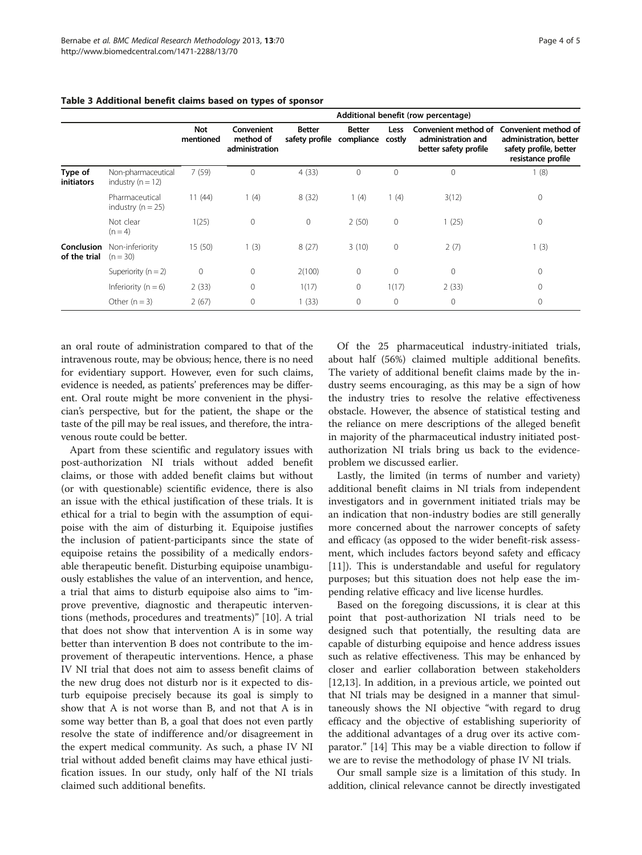|                              |                                             |                  |                                           |                                 | Additional benefit (row percentage) |                |                                                                     |                                                                                                |
|------------------------------|---------------------------------------------|------------------|-------------------------------------------|---------------------------------|-------------------------------------|----------------|---------------------------------------------------------------------|------------------------------------------------------------------------------------------------|
|                              |                                             | Not<br>mentioned | Convenient<br>method of<br>administration | <b>Better</b><br>safety profile | <b>Better</b><br>compliance         | Less<br>costly | Convenient method of<br>administration and<br>better safety profile | Convenient method of<br>administration, better<br>safety profile, better<br>resistance profile |
| Type of<br><b>initiators</b> | Non-pharmaceutical<br>industry ( $n = 12$ ) | 7(59)            | 0                                         | 4(33)                           | $\mathbf{0}$                        | $\mathbf{0}$   | $\mathbf{0}$                                                        | 1(8)                                                                                           |
|                              | Pharmaceutical<br>industry ( $n = 25$ )     | 11(44)           | 1(4)                                      | 8(32)                           | 1(4)                                | (4)            | 3(12)                                                               | 0                                                                                              |
|                              | Not clear<br>$(n = 4)$                      | 1(25)            | $\mathbf{0}$                              | $\mathbf{0}$                    | 2(50)                               | $\mathbf 0$    | 1(25)                                                               | 0                                                                                              |
| Conclusion<br>of the trial   | Non-inferiority<br>$(n = 30)$               | 15(50)           | 1(3)                                      | 8(27)                           | 3(10)                               | $\mathbf 0$    | 2(7)                                                                | 1(3)                                                                                           |
|                              | Superiority ( $n = 2$ )                     | $\mathbf{0}$     | 0                                         | 2(100)                          | $\mathbf{0}$                        | $\mathbf{0}$   | $\mathbf 0$                                                         | 0                                                                                              |
|                              | Inferiority ( $n = 6$ )                     | 2(33)            | 0                                         | 1(17)                           | 0                                   | 1(17)          | 2(33)                                                               | 0                                                                                              |
|                              | Other $(n = 3)$                             | 2(67)            | 0                                         | 1(33)                           | $\circ$                             | $\mathbf{0}$   | 0                                                                   | 0                                                                                              |

### <span id="page-3-0"></span>Table 3 Additional benefit claims based on types of sponsor

an oral route of administration compared to that of the intravenous route, may be obvious; hence, there is no need for evidentiary support. However, even for such claims, evidence is needed, as patients' preferences may be different. Oral route might be more convenient in the physician's perspective, but for the patient, the shape or the taste of the pill may be real issues, and therefore, the intravenous route could be better.

Apart from these scientific and regulatory issues with post-authorization NI trials without added benefit claims, or those with added benefit claims but without (or with questionable) scientific evidence, there is also an issue with the ethical justification of these trials. It is ethical for a trial to begin with the assumption of equipoise with the aim of disturbing it. Equipoise justifies the inclusion of patient-participants since the state of equipoise retains the possibility of a medically endorsable therapeutic benefit. Disturbing equipoise unambiguously establishes the value of an intervention, and hence, a trial that aims to disturb equipoise also aims to "improve preventive, diagnostic and therapeutic interventions (methods, procedures and treatments)" [\[10](#page-4-0)]. A trial that does not show that intervention A is in some way better than intervention B does not contribute to the improvement of therapeutic interventions. Hence, a phase IV NI trial that does not aim to assess benefit claims of the new drug does not disturb nor is it expected to disturb equipoise precisely because its goal is simply to show that A is not worse than B, and not that A is in some way better than B, a goal that does not even partly resolve the state of indifference and/or disagreement in the expert medical community. As such, a phase IV NI trial without added benefit claims may have ethical justification issues. In our study, only half of the NI trials claimed such additional benefits.

Of the 25 pharmaceutical industry-initiated trials, about half (56%) claimed multiple additional benefits. The variety of additional benefit claims made by the industry seems encouraging, as this may be a sign of how the industry tries to resolve the relative effectiveness obstacle. However, the absence of statistical testing and the reliance on mere descriptions of the alleged benefit in majority of the pharmaceutical industry initiated postauthorization NI trials bring us back to the evidenceproblem we discussed earlier.

Lastly, the limited (in terms of number and variety) additional benefit claims in NI trials from independent investigators and in government initiated trials may be an indication that non-industry bodies are still generally more concerned about the narrower concepts of safety and efficacy (as opposed to the wider benefit-risk assessment, which includes factors beyond safety and efficacy [[11\]](#page-4-0)). This is understandable and useful for regulatory purposes; but this situation does not help ease the impending relative efficacy and live license hurdles.

Based on the foregoing discussions, it is clear at this point that post-authorization NI trials need to be designed such that potentially, the resulting data are capable of disturbing equipoise and hence address issues such as relative effectiveness. This may be enhanced by closer and earlier collaboration between stakeholders [[12,13\]](#page-4-0). In addition, in a previous article, we pointed out that NI trials may be designed in a manner that simultaneously shows the NI objective "with regard to drug efficacy and the objective of establishing superiority of the additional advantages of a drug over its active comparator." [[14\]](#page-4-0) This may be a viable direction to follow if we are to revise the methodology of phase IV NI trials.

Our small sample size is a limitation of this study. In addition, clinical relevance cannot be directly investigated